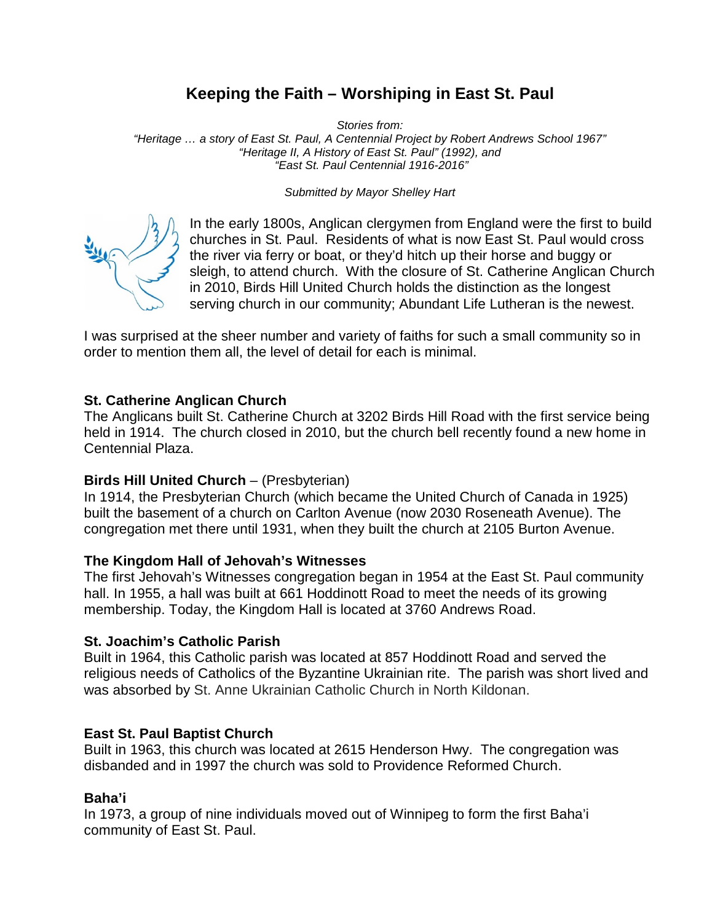# **Keeping the Faith – Worshiping in East St. Paul**

*Stories from: "Heritage … a story of East St. Paul, A Centennial Project by Robert Andrews School 1967" "Heritage II, A History of East St. Paul" (1992), and "East St. Paul Centennial 1916-2016"* 

*Submitted by Mayor Shelley Hart* 



In the early 1800s, Anglican clergymen from England were the first to build churches in St. Paul. Residents of what is now East St. Paul would cross the river via ferry or boat, or they'd hitch up their horse and buggy or sleigh, to attend church. With the closure of St. Catherine Anglican Church in 2010, Birds Hill United Church holds the distinction as the longest serving church in our community; Abundant Life Lutheran is the newest.

I was surprised at the sheer number and variety of faiths for such a small community so in order to mention them all, the level of detail for each is minimal.

# **St. Catherine Anglican Church**

The Anglicans built St. Catherine Church at 3202 Birds Hill Road with the first service being held in 1914. The church closed in 2010, but the church bell recently found a new home in Centennial Plaza.

## **Birds Hill United Church** – (Presbyterian)

In 1914, the Presbyterian Church (which became the United Church of Canada in 1925) built the basement of a church on Carlton Avenue (now 2030 Roseneath Avenue). The congregation met there until 1931, when they built the church at 2105 Burton Avenue.

## **The Kingdom Hall of Jehovah's Witnesses**

The first Jehovah's Witnesses congregation began in 1954 at the East St. Paul community hall. In 1955, a hall was built at 661 Hoddinott Road to meet the needs of its growing membership. Today, the Kingdom Hall is located at 3760 Andrews Road.

## **St. Joachim's Catholic Parish**

Built in 1964, this Catholic parish was located at 857 Hoddinott Road and served the religious needs of Catholics of the Byzantine Ukrainian rite. The parish was short lived and was absorbed by St. Anne Ukrainian Catholic Church in North Kildonan.

## **East St. Paul Baptist Church**

Built in 1963, this church was located at 2615 Henderson Hwy. The congregation was disbanded and in 1997 the church was sold to Providence Reformed Church.

# **Baha'i**

In 1973, a group of nine individuals moved out of Winnipeg to form the first Baha'i community of East St. Paul.